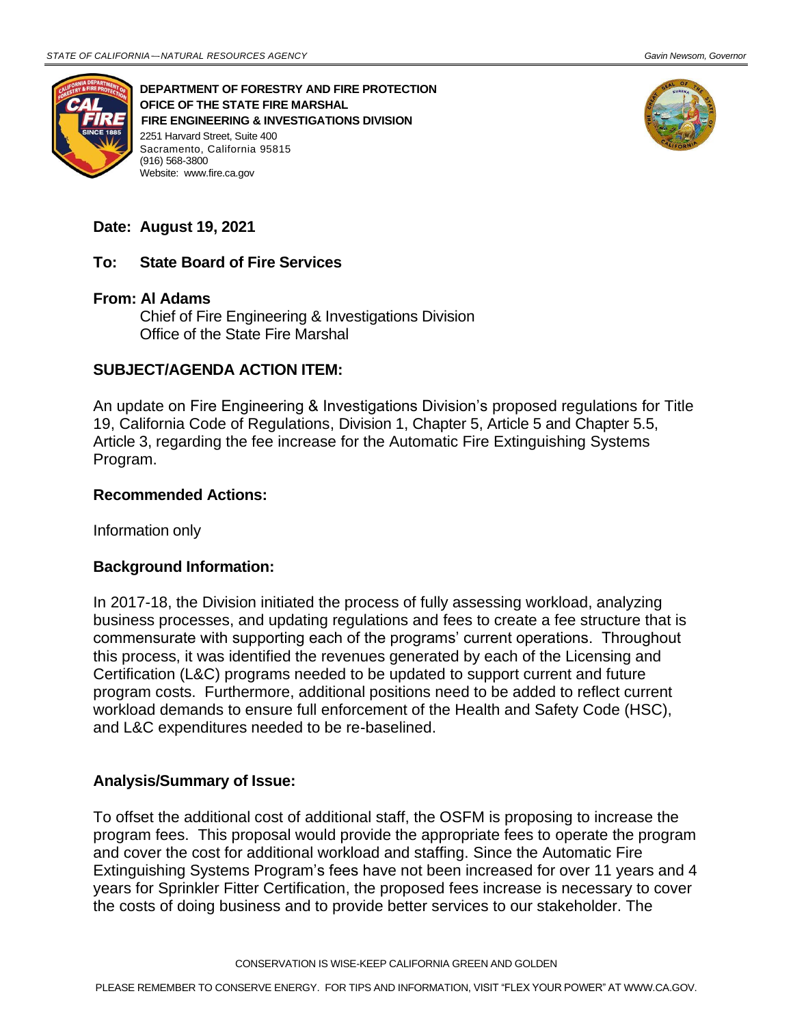

**DEPARTMENT OF FORESTRY AND FIRE PROTECTION OFICE OF THE STATE FIRE MARSHAL FIRE ENGINEERING & INVESTIGATIONS DIVISION** 2251 Harvard Street, Suite 400 Sacramento, California 95815 (916) 568-3800 Website: [www.fire.ca.gov](http://www.fire.ca.gov/)



## **Date: August 19, 2021**

### **To: State Board of Fire Services**

#### **From: Al Adams**

Chief of Fire Engineering & Investigations Division Office of the State Fire Marshal

### **SUBJECT/AGENDA ACTION ITEM:**

An update on Fire Engineering & Investigations Division's proposed regulations for Title 19, California Code of Regulations, Division 1, Chapter 5, Article 5 and Chapter 5.5, Article 3, regarding the fee increase for the Automatic Fire Extinguishing Systems Program.

### **Recommended Actions:**

Information only

### **Background Information:**

In 2017-18, the Division initiated the process of fully assessing workload, analyzing business processes, and updating regulations and fees to create a fee structure that is commensurate with supporting each of the programs' current operations. Throughout this process, it was identified the revenues generated by each of the Licensing and Certification (L&C) programs needed to be updated to support current and future program costs. Furthermore, additional positions need to be added to reflect current workload demands to ensure full enforcement of the Health and Safety Code (HSC), and L&C expenditures needed to be re-baselined.

### **Analysis/Summary of Issue:**

To offset the additional cost of additional staff, the OSFM is proposing to increase the program fees. This proposal would provide the appropriate fees to operate the program and cover the cost for additional workload and staffing. Since the Automatic Fire Extinguishing Systems Program's fees have not been increased for over 11 years and 4 years for Sprinkler Fitter Certification, the proposed fees increase is necessary to cover the costs of doing business and to provide better services to our stakeholder. The